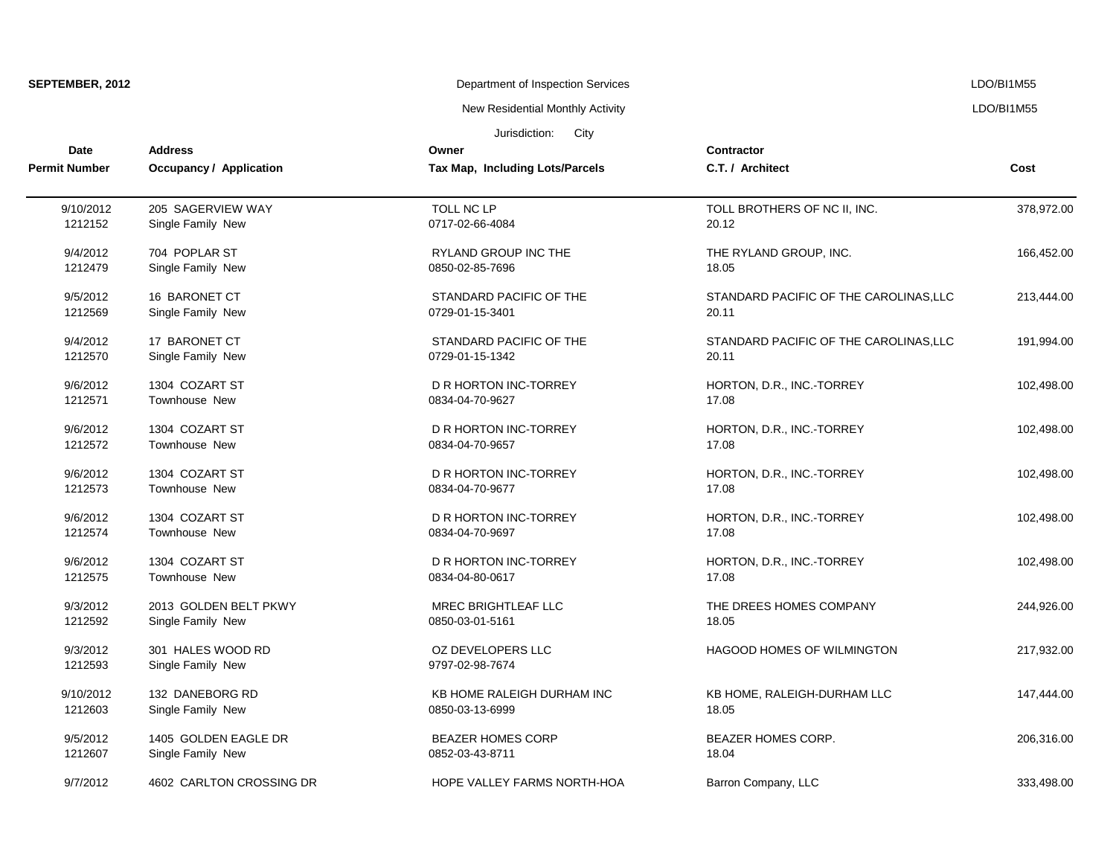| SEPTEMBER, 2012      |                                | Department of Inspection Services |                                        | LDO/BI1M55 |  |
|----------------------|--------------------------------|-----------------------------------|----------------------------------------|------------|--|
|                      |                                | New Residential Monthly Activity  |                                        | LDO/BI1M55 |  |
|                      |                                | City<br>Jurisdiction:             |                                        |            |  |
| <b>Date</b>          | <b>Address</b>                 | Owner                             | <b>Contractor</b>                      |            |  |
| <b>Permit Number</b> | <b>Occupancy / Application</b> | Tax Map, Including Lots/Parcels   | C.T. / Architect                       | Cost       |  |
| 9/10/2012            | 205 SAGERVIEW WAY              | TOLL NC LP                        | TOLL BROTHERS OF NC II, INC.           | 378,972.00 |  |
| 1212152              | Single Family New              | 0717-02-66-4084                   | 20.12                                  |            |  |
| 9/4/2012             | 704 POPLAR ST                  | RYLAND GROUP INC THE              | THE RYLAND GROUP, INC.                 | 166,452.00 |  |
| 1212479              | Single Family New              | 0850-02-85-7696                   | 18.05                                  |            |  |
| 9/5/2012             | 16 BARONET CT                  | STANDARD PACIFIC OF THE           | STANDARD PACIFIC OF THE CAROLINAS, LLC | 213,444.00 |  |
| 1212569              | Single Family New              | 0729-01-15-3401                   | 20.11                                  |            |  |
| 9/4/2012             | 17 BARONET CT                  | STANDARD PACIFIC OF THE           | STANDARD PACIFIC OF THE CAROLINAS, LLC | 191,994.00 |  |
| 1212570              | Single Family New              | 0729-01-15-1342                   | 20.11                                  |            |  |
| 9/6/2012             | 1304 COZART ST                 | D R HORTON INC-TORREY             | HORTON, D.R., INC.-TORREY              | 102,498.00 |  |
| 1212571              | Townhouse New                  | 0834-04-70-9627                   | 17.08                                  |            |  |
| 9/6/2012             | 1304 COZART ST                 | D R HORTON INC-TORREY             | HORTON, D.R., INC.-TORREY              | 102,498.00 |  |
| 1212572              | Townhouse New                  | 0834-04-70-9657                   | 17.08                                  |            |  |
| 9/6/2012             | 1304 COZART ST                 | D R HORTON INC-TORREY             | HORTON, D.R., INC.-TORREY              | 102,498.00 |  |
| 1212573              | Townhouse New                  | 0834-04-70-9677                   | 17.08                                  |            |  |
| 9/6/2012             | 1304 COZART ST                 | D R HORTON INC-TORREY             | HORTON, D.R., INC.-TORREY              | 102,498.00 |  |
| 1212574              | Townhouse New                  | 0834-04-70-9697                   | 17.08                                  |            |  |
| 9/6/2012             | 1304 COZART ST                 | D R HORTON INC-TORREY             | HORTON, D.R., INC.-TORREY              | 102,498.00 |  |
| 1212575              | <b>Townhouse New</b>           | 0834-04-80-0617                   | 17.08                                  |            |  |
| 9/3/2012             | 2013 GOLDEN BELT PKWY          | <b>MREC BRIGHTLEAF LLC</b>        | THE DREES HOMES COMPANY                | 244,926.00 |  |
| 1212592              | Single Family New              | 0850-03-01-5161                   | 18.05                                  |            |  |
| 9/3/2012             | 301 HALES WOOD RD              | OZ DEVELOPERS LLC                 | HAGOOD HOMES OF WILMINGTON             | 217,932.00 |  |
| 1212593              | Single Family New              | 9797-02-98-7674                   |                                        |            |  |
| 9/10/2012            | 132 DANEBORG RD                | KB HOME RALEIGH DURHAM INC        | KB HOME, RALEIGH-DURHAM LLC            | 147,444.00 |  |
| 1212603              | Single Family New              | 0850-03-13-6999                   | 18.05                                  |            |  |
| 9/5/2012             | 1405 GOLDEN EAGLE DR           | <b>BEAZER HOMES CORP</b>          | BEAZER HOMES CORP.                     | 206,316.00 |  |
| 1212607              | Single Family New              | 0852-03-43-8711                   | 18.04                                  |            |  |
| 9/7/2012             | 4602 CARLTON CROSSING DR       | HOPE VALLEY FARMS NORTH-HOA       | Barron Company, LLC                    | 333,498.00 |  |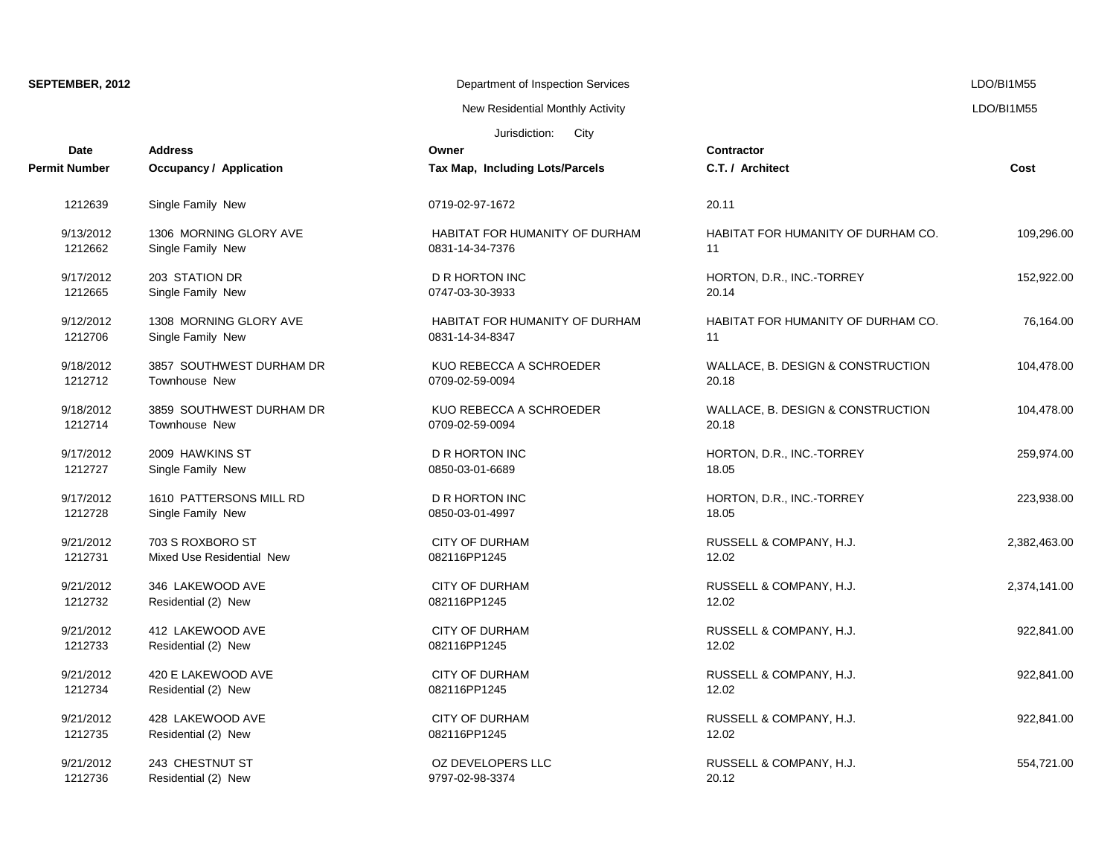# SEPTEMBER, 2012 LDO/BI1M55

New Residential Monthly Activity **LACTION** CONSERVITY And The United States of the UNITY ACTION CONSERVENT ASSESSMENT ASSESSMENT AND RESIDENT ASSESSMENT ASSESSMENT ASSESSMENT AND RESIDENT ASSESSMENT ASSESSMENT AND RESIDENT

| Jurisdiction: | City |
|---------------|------|
|---------------|------|

| <b>Date</b>          | <b>Address</b>                 | Owner                                 | <b>Contractor</b>                  |              |
|----------------------|--------------------------------|---------------------------------------|------------------------------------|--------------|
| <b>Permit Number</b> | <b>Occupancy / Application</b> | Tax Map, Including Lots/Parcels       | C.T. / Architect                   | Cost         |
| 1212639              | Single Family New              | 0719-02-97-1672                       | 20.11                              |              |
| 9/13/2012            | 1306 MORNING GLORY AVE         | <b>HABITAT FOR HUMANITY OF DURHAM</b> | HABITAT FOR HUMANITY OF DURHAM CO. | 109,296.00   |
| 1212662              | Single Family New              | 0831-14-34-7376                       | 11                                 |              |
| 9/17/2012            | 203 STATION DR                 | D R HORTON INC                        | HORTON, D.R., INC.-TORREY          | 152,922.00   |
| 1212665              | Single Family New              | 0747-03-30-3933                       | 20.14                              |              |
| 9/12/2012            | 1308 MORNING GLORY AVE         | HABITAT FOR HUMANITY OF DURHAM        | HABITAT FOR HUMANITY OF DURHAM CO. | 76,164.00    |
| 1212706              | Single Family New              | 0831-14-34-8347                       | 11                                 |              |
| 9/18/2012            | 3857 SOUTHWEST DURHAM DR       | KUO REBECCA A SCHROEDER               | WALLACE, B. DESIGN & CONSTRUCTION  | 104.478.00   |
| 1212712              | Townhouse New                  | 0709-02-59-0094                       | 20.18                              |              |
| 9/18/2012            | 3859 SOUTHWEST DURHAM DR       | KUO REBECCA A SCHROEDER               | WALLACE, B. DESIGN & CONSTRUCTION  | 104,478.00   |
| 1212714              | Townhouse New                  | 0709-02-59-0094                       | 20.18                              |              |
| 9/17/2012            | 2009 HAWKINS ST                | D R HORTON INC                        | HORTON, D.R., INC.-TORREY          | 259,974.00   |
| 1212727              | Single Family New              | 0850-03-01-6689                       | 18.05                              |              |
| 9/17/2012            | 1610 PATTERSONS MILL RD        | <b>D R HORTON INC</b>                 | HORTON, D.R., INC.-TORREY          | 223,938.00   |
| 1212728              | Single Family New              | 0850-03-01-4997                       | 18.05                              |              |
| 9/21/2012            | 703 S ROXBORO ST               | <b>CITY OF DURHAM</b>                 | RUSSELL & COMPANY, H.J.            | 2,382,463.00 |
| 1212731              | Mixed Use Residential New      | 082116PP1245                          | 12.02                              |              |
| 9/21/2012            | 346 LAKEWOOD AVE               | <b>CITY OF DURHAM</b>                 | RUSSELL & COMPANY, H.J.            | 2,374,141.00 |
| 1212732              | Residential (2) New            | 082116PP1245                          | 12.02                              |              |
| 9/21/2012            | 412 LAKEWOOD AVE               | <b>CITY OF DURHAM</b>                 | RUSSELL & COMPANY, H.J.            | 922,841.00   |
| 1212733              | Residential (2) New            | 082116PP1245                          | 12.02                              |              |
| 9/21/2012            | 420 E LAKEWOOD AVE             | CITY OF DURHAM                        | RUSSELL & COMPANY, H.J.            | 922,841.00   |
| 1212734              | Residential (2) New            | 082116PP1245                          | 12.02                              |              |
| 9/21/2012            | 428 LAKEWOOD AVE               | <b>CITY OF DURHAM</b>                 | RUSSELL & COMPANY, H.J.            | 922,841.00   |
| 1212735              | Residential (2) New            | 082116PP1245                          | 12.02                              |              |
| 9/21/2012            | 243 CHESTNUT ST                | OZ DEVELOPERS LLC                     | RUSSELL & COMPANY, H.J.            | 554,721.00   |
| 1212736              | Residential (2) New            | 9797-02-98-3374                       | 20.12                              |              |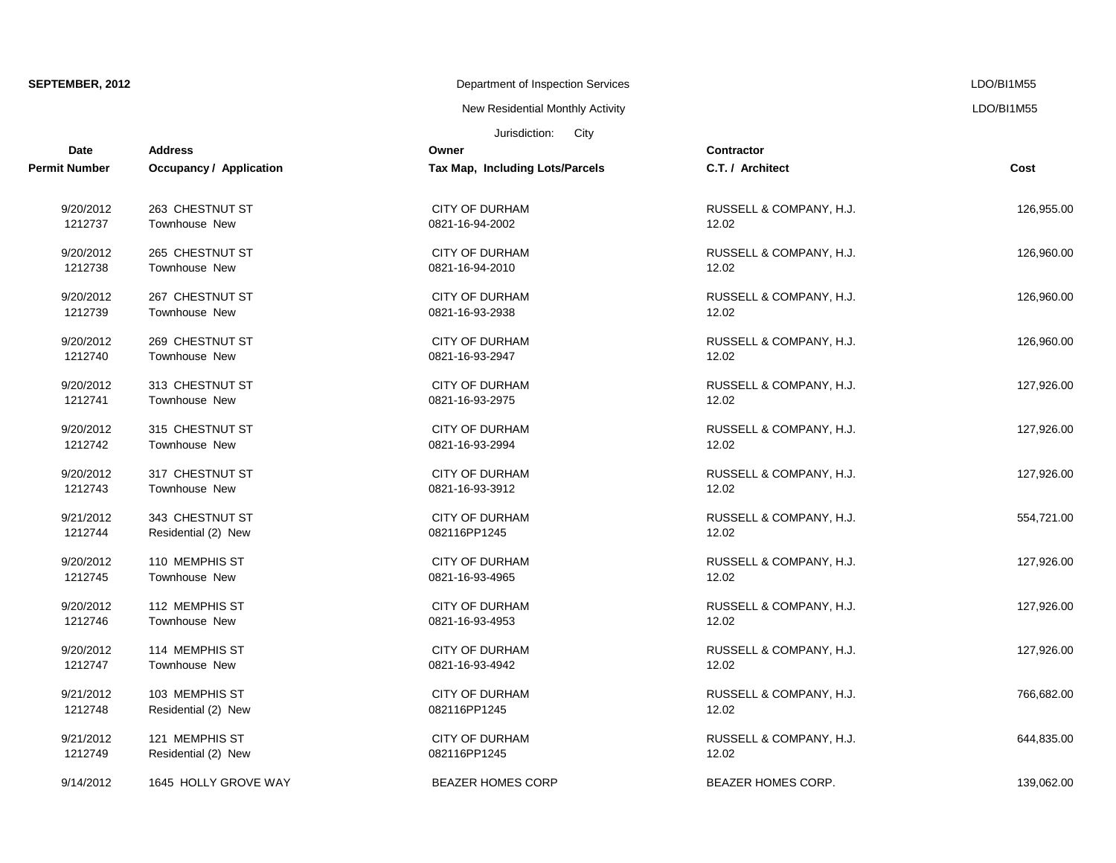| SEPTEMBER, 2012 |
|-----------------|
|-----------------|

### **SEPTEMBER 2012** Department of Inspection Services LDO/BI1M55

New Residential Monthly Activity LDO/BI1M55

| Jurisdiction:<br>City<br><b>Date</b><br><b>Address</b><br>Owner<br>Contractor |                                |                                 |                           |            |
|-------------------------------------------------------------------------------|--------------------------------|---------------------------------|---------------------------|------------|
| Permit Number                                                                 | <b>Occupancy / Application</b> | Tax Map, Including Lots/Parcels | C.T. / Architect          | Cost       |
| 9/20/2012                                                                     | 263 CHESTNUT ST                | <b>CITY OF DURHAM</b>           | RUSSELL & COMPANY, H.J.   | 126,955.00 |
| 1212737                                                                       | Townhouse New                  | 0821-16-94-2002                 | 12.02                     |            |
| 9/20/2012                                                                     | 265 CHESTNUT ST                | <b>CITY OF DURHAM</b>           | RUSSELL & COMPANY, H.J.   | 126,960.00 |
| 1212738                                                                       | Townhouse New                  | 0821-16-94-2010                 | 12.02                     |            |
| 9/20/2012                                                                     | 267 CHESTNUT ST                | <b>CITY OF DURHAM</b>           | RUSSELL & COMPANY, H.J.   | 126,960.00 |
| 1212739                                                                       | Townhouse New                  | 0821-16-93-2938                 | 12.02                     |            |
| 9/20/2012                                                                     | 269 CHESTNUT ST                | CITY OF DURHAM                  | RUSSELL & COMPANY, H.J.   | 126,960.00 |
| 1212740                                                                       | Townhouse New                  | 0821-16-93-2947                 | 12.02                     |            |
| 9/20/2012                                                                     | 313 CHESTNUT ST                | <b>CITY OF DURHAM</b>           | RUSSELL & COMPANY, H.J.   | 127,926.00 |
| 1212741                                                                       | Townhouse New                  | 0821-16-93-2975                 | 12.02                     |            |
| 9/20/2012                                                                     | 315 CHESTNUT ST                | <b>CITY OF DURHAM</b>           | RUSSELL & COMPANY, H.J.   | 127,926.00 |
| 1212742                                                                       | Townhouse New                  | 0821-16-93-2994                 | 12.02                     |            |
| 9/20/2012                                                                     | 317 CHESTNUT ST                | <b>CITY OF DURHAM</b>           | RUSSELL & COMPANY, H.J.   | 127,926.00 |
| 1212743                                                                       | Townhouse New                  | 0821-16-93-3912                 | 12.02                     |            |
| 9/21/2012                                                                     | 343 CHESTNUT ST                | <b>CITY OF DURHAM</b>           | RUSSELL & COMPANY, H.J.   | 554,721.00 |
| 1212744                                                                       | Residential (2) New            | 082116PP1245                    | 12.02                     |            |
| 9/20/2012                                                                     | 110 MEMPHIS ST                 | <b>CITY OF DURHAM</b>           | RUSSELL & COMPANY, H.J.   | 127,926.00 |
| 1212745                                                                       | Townhouse New                  | 0821-16-93-4965                 | 12.02                     |            |
| 9/20/2012                                                                     | 112 MEMPHIS ST                 | <b>CITY OF DURHAM</b>           | RUSSELL & COMPANY, H.J.   | 127,926.00 |
| 1212746                                                                       | Townhouse New                  | 0821-16-93-4953                 | 12.02                     |            |
| 9/20/2012                                                                     | 114 MEMPHIS ST                 | <b>CITY OF DURHAM</b>           | RUSSELL & COMPANY, H.J.   | 127,926.00 |
| 1212747                                                                       | Townhouse New                  | 0821-16-93-4942                 | 12.02                     |            |
| 9/21/2012                                                                     | 103 MEMPHIS ST                 | <b>CITY OF DURHAM</b>           | RUSSELL & COMPANY, H.J.   | 766,682.00 |
| 1212748                                                                       | Residential (2) New            | 082116PP1245                    | 12.02                     |            |
| 9/21/2012                                                                     | 121 MEMPHIS ST                 | <b>CITY OF DURHAM</b>           | RUSSELL & COMPANY, H.J.   | 644,835.00 |
| 1212749                                                                       | Residential (2) New            | 082116PP1245                    | 12.02                     |            |
| 9/14/2012                                                                     | 1645 HOLLY GROVE WAY           | <b>BEAZER HOMES CORP</b>        | <b>BEAZER HOMES CORP.</b> | 139,062.00 |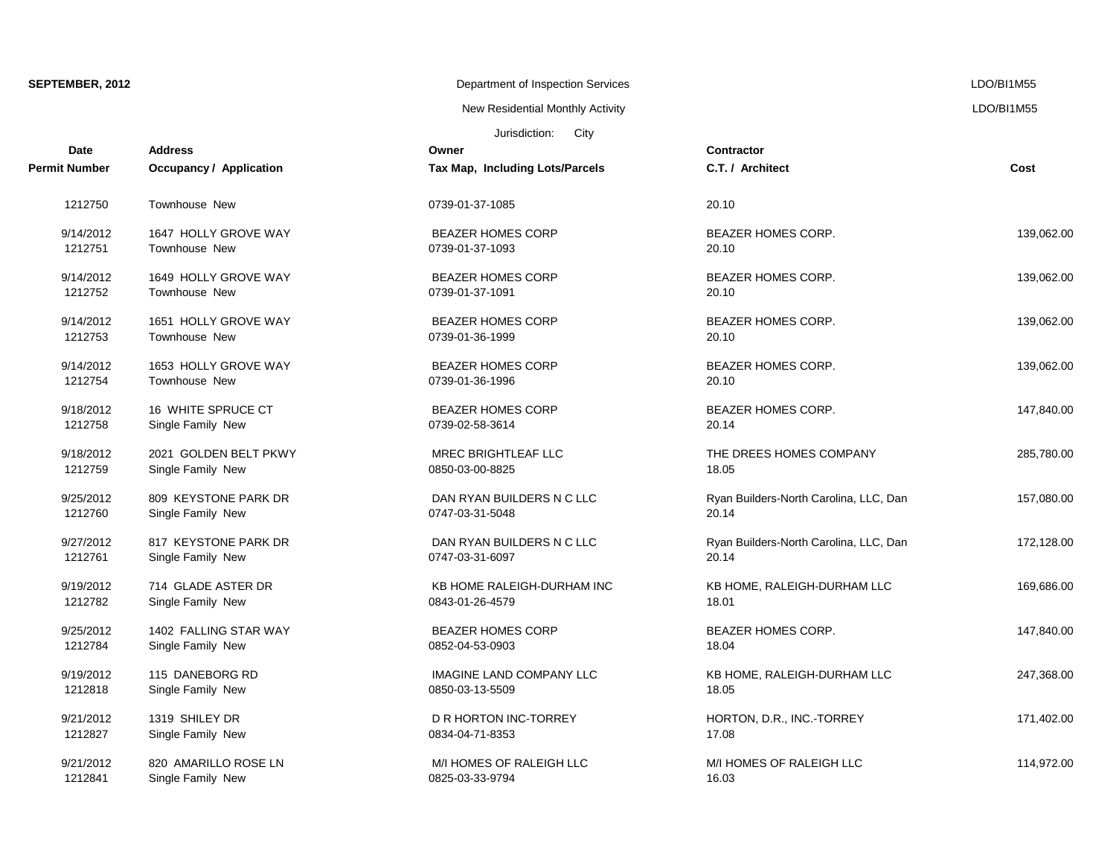| SEPTEMBER, 2012 |  |
|-----------------|--|
|-----------------|--|

### **SEPTEMBER 2012 DEPARTMENT OF INSPECTION SERVICES** LDO/BI1M55

New Residential Monthly Activity **LACTION** CONSERVITY AND RESIDENT RESIDENT ASSESSED FOR A LOO AND RESIDENT ASSESSED FOR A LOO AND RESIDENT ASSESSED FOR A LOO AND RESIDENT ASSESSED FOR A LOO AND RESIDENT ASSESSED FOR A LOO

### Jurisdiction: City

| <b>Date</b>   | <b>Address</b>                 | Owner                           | <b>Contractor</b>                      |            |
|---------------|--------------------------------|---------------------------------|----------------------------------------|------------|
| Permit Number | <b>Occupancy / Application</b> | Tax Map, Including Lots/Parcels | C.T. / Architect                       | Cost       |
| 1212750       | <b>Townhouse New</b>           | 0739-01-37-1085                 | 20.10                                  |            |
| 9/14/2012     | 1647 HOLLY GROVE WAY           | <b>BEAZER HOMES CORP</b>        | <b>BEAZER HOMES CORP.</b>              | 139,062.00 |
| 1212751       | Townhouse New                  | 0739-01-37-1093                 | 20.10                                  |            |
| 9/14/2012     | 1649 HOLLY GROVE WAY           | <b>BEAZER HOMES CORP</b>        | <b>BEAZER HOMES CORP.</b>              | 139,062.00 |
| 1212752       | <b>Townhouse New</b>           | 0739-01-37-1091                 | 20.10                                  |            |
| 9/14/2012     | 1651 HOLLY GROVE WAY           | <b>BEAZER HOMES CORP</b>        | <b>BEAZER HOMES CORP.</b>              | 139,062.00 |
| 1212753       | <b>Townhouse New</b>           | 0739-01-36-1999                 | 20.10                                  |            |
| 9/14/2012     | 1653 HOLLY GROVE WAY           | <b>BEAZER HOMES CORP</b>        | BEAZER HOMES CORP.                     | 139,062.00 |
| 1212754       | <b>Townhouse New</b>           | 0739-01-36-1996                 | 20.10                                  |            |
| 9/18/2012     | 16 WHITE SPRUCE CT             | <b>BEAZER HOMES CORP</b>        | <b>BEAZER HOMES CORP.</b>              | 147,840.00 |
| 1212758       | Single Family New              | 0739-02-58-3614                 | 20.14                                  |            |
| 9/18/2012     | 2021 GOLDEN BELT PKWY          | MREC BRIGHTLEAF LLC             | THE DREES HOMES COMPANY                | 285,780.00 |
| 1212759       | Single Family New              | 0850-03-00-8825                 | 18.05                                  |            |
| 9/25/2012     | 809 KEYSTONE PARK DR           | DAN RYAN BUILDERS N C LLC       | Ryan Builders-North Carolina, LLC, Dan | 157,080.00 |
| 1212760       | Single Family New              | 0747-03-31-5048                 | 20.14                                  |            |
| 9/27/2012     | 817 KEYSTONE PARK DR           | DAN RYAN BUILDERS N C LLC       | Ryan Builders-North Carolina, LLC, Dan | 172,128.00 |
| 1212761       | Single Family New              | 0747-03-31-6097                 | 20.14                                  |            |
| 9/19/2012     | 714 GLADE ASTER DR             | KB HOME RALEIGH-DURHAM INC      | KB HOME, RALEIGH-DURHAM LLC            | 169,686.00 |
| 1212782       | Single Family New              | 0843-01-26-4579                 | 18.01                                  |            |
| 9/25/2012     | 1402 FALLING STAR WAY          | <b>BEAZER HOMES CORP</b>        | BEAZER HOMES CORP.                     | 147,840.00 |
| 1212784       | Single Family New              | 0852-04-53-0903                 | 18.04                                  |            |
| 9/19/2012     | 115 DANEBORG RD                | <b>IMAGINE LAND COMPANY LLC</b> | KB HOME, RALEIGH-DURHAM LLC            | 247,368.00 |
| 1212818       | Single Family New              | 0850-03-13-5509                 | 18.05                                  |            |
| 9/21/2012     | 1319 SHILEY DR                 | D R HORTON INC-TORREY           | HORTON, D.R., INC.-TORREY              | 171,402.00 |
| 1212827       | Single Family New              | 0834-04-71-8353                 | 17.08                                  |            |
| 9/21/2012     | 820 AMARILLO ROSE LN           | M/I HOMES OF RALEIGH LLC        | M/I HOMES OF RALEIGH LLC               | 114,972.00 |
| 1212841       | Single Family New              | 0825-03-33-9794                 | 16.03                                  |            |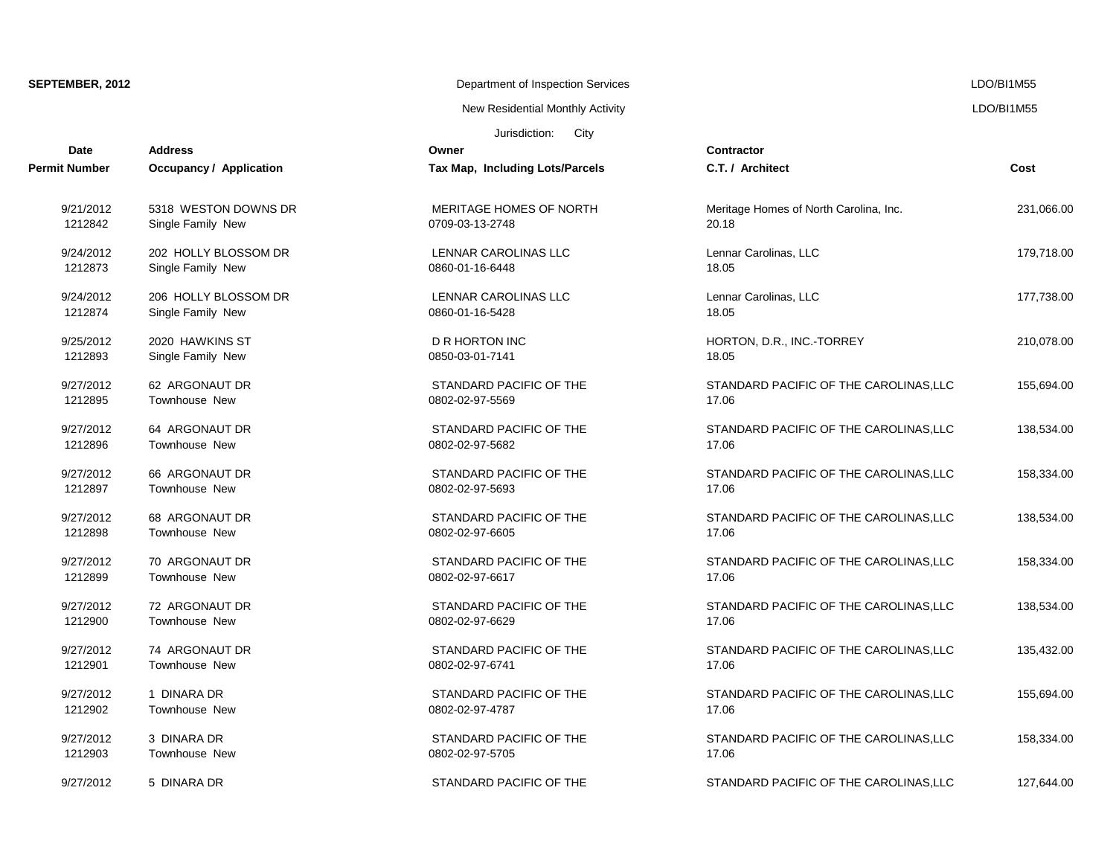# **SEPTEMBER, 2012** Department of Inspection Services LDO/BI1M55

Jurisdiction: City New Residential Monthly Activity **LACTION** CONSERVITY ASSESSMENT RESIDENTS A LOOMBIT M55

| <b>Date</b>   | <b>Address</b>                 | Owner                           | <b>Contractor</b>                      |            |
|---------------|--------------------------------|---------------------------------|----------------------------------------|------------|
| Permit Number | <b>Occupancy / Application</b> | Tax Map, Including Lots/Parcels | C.T. / Architect                       | Cost       |
| 9/21/2012     | 5318 WESTON DOWNS DR           | MERITAGE HOMES OF NORTH         | Meritage Homes of North Carolina, Inc. | 231,066.00 |
| 1212842       | Single Family New              | 0709-03-13-2748                 | 20.18                                  |            |
| 9/24/2012     | 202 HOLLY BLOSSOM DR           | LENNAR CAROLINAS LLC            | Lennar Carolinas, LLC                  | 179,718.00 |
| 1212873       | Single Family New              | 0860-01-16-6448                 | 18.05                                  |            |
| 9/24/2012     | 206 HOLLY BLOSSOM DR           | LENNAR CAROLINAS LLC            | Lennar Carolinas, LLC                  | 177,738.00 |
| 1212874       | Single Family New              | 0860-01-16-5428                 | 18.05                                  |            |
| 9/25/2012     | 2020 HAWKINS ST                | D R HORTON INC                  | HORTON, D.R., INC.-TORREY              | 210,078.00 |
| 1212893       | Single Family New              | 0850-03-01-7141                 | 18.05                                  |            |
| 9/27/2012     | 62 ARGONAUT DR                 | STANDARD PACIFIC OF THE         | STANDARD PACIFIC OF THE CAROLINAS, LLC | 155,694.00 |
| 1212895       | <b>Townhouse New</b>           | 0802-02-97-5569                 | 17.06                                  |            |
| 9/27/2012     | 64 ARGONAUT DR                 | STANDARD PACIFIC OF THE         | STANDARD PACIFIC OF THE CAROLINAS, LLC | 138,534.00 |
| 1212896       | Townhouse New                  | 0802-02-97-5682                 | 17.06                                  |            |
| 9/27/2012     | 66 ARGONAUT DR                 | STANDARD PACIFIC OF THE         | STANDARD PACIFIC OF THE CAROLINAS, LLC | 158,334.00 |
| 1212897       | <b>Townhouse New</b>           | 0802-02-97-5693                 | 17.06                                  |            |
| 9/27/2012     | 68 ARGONAUT DR                 | STANDARD PACIFIC OF THE         | STANDARD PACIFIC OF THE CAROLINAS, LLC | 138,534.00 |
| 1212898       | <b>Townhouse New</b>           | 0802-02-97-6605                 | 17.06                                  |            |
| 9/27/2012     | 70 ARGONAUT DR                 | STANDARD PACIFIC OF THE         | STANDARD PACIFIC OF THE CAROLINAS, LLC | 158,334.00 |
| 1212899       | Townhouse New                  | 0802-02-97-6617                 | 17.06                                  |            |
| 9/27/2012     | 72 ARGONAUT DR                 | STANDARD PACIFIC OF THE         | STANDARD PACIFIC OF THE CAROLINAS, LLC | 138,534.00 |
| 1212900       | <b>Townhouse New</b>           | 0802-02-97-6629                 | 17.06                                  |            |
| 9/27/2012     | 74 ARGONAUT DR                 | STANDARD PACIFIC OF THE         | STANDARD PACIFIC OF THE CAROLINAS, LLC | 135,432.00 |
| 1212901       | <b>Townhouse New</b>           | 0802-02-97-6741                 | 17.06                                  |            |
| 9/27/2012     | 1 DINARA DR                    | STANDARD PACIFIC OF THE         | STANDARD PACIFIC OF THE CAROLINAS, LLC | 155,694.00 |
| 1212902       | <b>Townhouse New</b>           | 0802-02-97-4787                 | 17.06                                  |            |
| 9/27/2012     | 3 DINARA DR                    | STANDARD PACIFIC OF THE         | STANDARD PACIFIC OF THE CAROLINAS, LLC | 158,334.00 |
| 1212903       | Townhouse New                  | 0802-02-97-5705                 | 17.06                                  |            |
| 9/27/2012     | 5 DINARA DR                    | STANDARD PACIFIC OF THE         | STANDARD PACIFIC OF THE CAROLINAS, LLC | 127.644.00 |